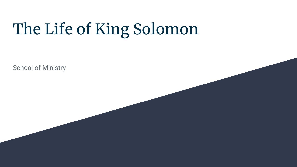# The Life of King Solomon

School of Ministry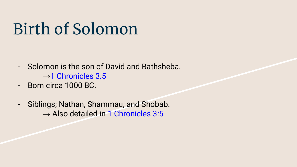# Birth of Solomon

- Solomon is the son of David and Bathsheba.  $\rightarrow$ 1 Chronicles 3:5
- Born circa 1000 BC.
- Siblings; Nathan, Shammau, and Shobab.  $\rightarrow$  Also detailed in 1 Chronicles 3:5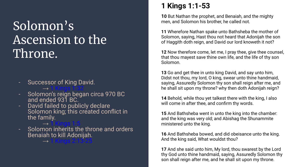### Solomon's Ascension to the Throne.

#### Successor of King David.  $\rightarrow$  1 Kings 1:32

- Solomon's reign began circa 970 BC and ended 931 BC.
- David failed to publicly declare Solomon king; this created conflict in the family.
- $\rightarrow$  1 Kings 1:5 - Solomon inherits the throne and orders Benaiah to kill Adonijah.

→ 1 Kings 2:13-25

#### **1 Kings 1:1-53**

**10** But Nathan the prophet, and Benaiah, and the mighty men, and Solomon his brother, he called not.

**11** Wherefore Nathan spake unto Bathsheba the mother of Solomon, saying, Hast thou not heard that Adonijah the son of Haggith doth reign, and David our lord knoweth it not?

**12** Now therefore come, let me, I pray thee, give thee counsel, that thou mayest save thine own life, and the life of thy son Solomon.

**13** Go and get thee in unto king David, and say unto him, Didst not thou, my lord, O king, swear unto thine handmaid, saying, Assuredly Solomon thy son shall reign after me, and he shall sit upon my throne? why then doth Adonijah reign?

**14** Behold, while thou yet talkest there with the king, I also will come in after thee, and confirm thy words.

**15** And Bathsheba went in unto the king into the chamber: and the king was very old; and Abishag the Shunammite ministered unto the king.

**16** And Bathsheba bowed, and did obeisance unto the king. And the king said, What wouldst thou?

**17** And she said unto him, My lord, thou swarest by the Lord thy God unto thine handmaid, saying, Assuredly Solomon thy son shall reign after me, and he shall sit upon my throne.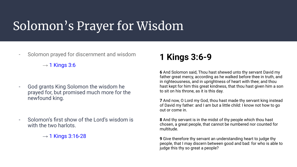## Solomon's Prayer for Wisdom

- Solomon prayed for discernment and wisdom

 $\rightarrow$  1 Kings 3:6

- God grants King Solomon the wisdom he prayed for, but promised much more for the newfound king.
- Solomon's first show of the Lord's wisdom is with the two harlots.
	- $\rightarrow$  1 Kings 3:16-28

### **1 Kings 3:6-9**

**6** And Solomon said, Thou hast shewed unto thy servant David my father great mercy, according as he walked before thee in truth, and in righteousness, and in uprightness of heart with thee; and thou hast kept for him this great kindness, that thou hast given him a son to sit on his throne, as it is this day.

**7** And now, O Lord my God, thou hast made thy servant king instead of David my father: and I am but a little child: I know not how to go out or come in.

**8** And thy servant is in the midst of thy people which thou hast chosen, a great people, that cannot be numbered nor counted for multitude.

**9** Give therefore thy servant an understanding heart to judge thy people, that I may discern between good and bad: for who is able to judge this thy so great a people?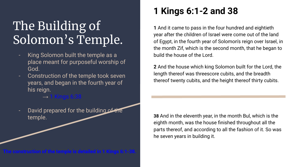## The Building of Solomon's Temple.

- King Solomon built the temple as a place meant for purposeful worship of God.
- Construction of the temple took seven years, and began in the fourth year of his reign.
	- $\rightarrow$  1 Kings 6:38  $^{\circ}$
- David prepared for the building of the temple.

**The construction of the temple is detailed in 1 Kings 6:1-38.**

### **1 Kings 6:1-2 and 38**

**1** And it came to pass in the four hundred and eightieth year after the children of Israel were come out of the land of Egypt, in the fourth year of Solomon's reign over Israel, in the month Zif, which is the second month, that he began to build the house of the Lord.

**2** And the house which king Solomon built for the Lord, the length thereof was threescore cubits, and the breadth thereof twenty cubits, and the height thereof thirty cubits.

**38** And in the eleventh year, in the month Bul, which is the eighth month, was the house finished throughout all the parts thereof, and according to all the fashion of it. So was he seven years in building it.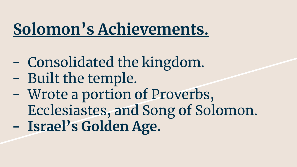# **Solomon's Achievements.**

- Consolidated the kingdom.
- Built the temple.
- Wrote a portion of Proverbs, Ecclesiastes, and Song of Solomon. **- Israel's Golden Age.**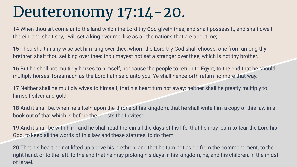# Deuteronomy 17:14-20.

**14** When thou art come unto the land which the Lord thy God giveth thee, and shalt possess it, and shalt dwell therein, and shalt say, I will set a king over me, like as all the nations that are about me;

**15** Thou shalt in any wise set him king over thee, whom the Lord thy God shall choose: one from among thy brethren shalt thou set king over thee: thou mayest not set a stranger over thee, which is not thy brother.

**16** But he shall not multiply horses to himself, nor cause the people to return to Egypt, to the end that he should multiply horses: forasmuch as the Lord hath said unto you, Ye shall henceforth return no more that way.

**17** Neither shall he multiply wives to himself, that his heart turn not away: neither shall he greatly multiply to himself silver and gold.

**18** And it shall be, when he sitteth upon the throne of his kingdom, that he shall write him a copy of this law in a book out of that which is before the priests the Levites:

**19** And it shall be with him, and he shall read therein all the days of his life: that he may learn to fear the Lord his God, to keep all the words of this law and these statutes, to do them:

**20** That his heart be not lifted up above his brethren, and that he turn not aside from the commandment, to the right hand, or to the left: to the end that he may prolong his days in his kingdom, he, and his children, in the midst of Israel.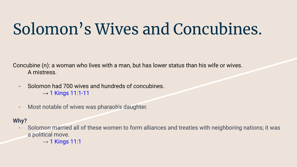# Solomon's Wives and Concubines.

Concubine (n): a woman who lives with a man, but has lower status than his wife or wives. A mistress.

- Solomon had 700 wives and hundreds of concubines.  $\rightarrow$  1 Kings 11:1-11
- Most notable of wives was pharaoh's daughter.

#### **Why?**

- Solomon married all of these women to form alliances and treaties with neighboring nations; it was a political move.
	- $\rightarrow$  1 Kings 11:1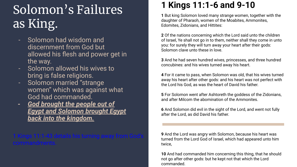## Solomon's Failures as King.

- Solomon had wisdom and discernment from God but allowed his flesh and power get in the way.
- Solomon allowed his wives to bring is false religions.
- Solomon married "strange women" which was against what God had commanded.
- *- God brought the people out of Egypt and Solomon brought Egypt back into the kingdom.*

## $\blacksquare$  Kings 11:1-43 details his turning away from God

### **1 Kings 11:1-6 and 9-10**

**1** But king Solomon loved many strange women, together with the daughter of Pharaoh, women of the Moabites, Ammonites, Edomites, Zidonians, and Hittites:

**2** Of the nations concerning which the Lord said unto the children of Israel, Ye shall not go in to them, neither shall they come in unto you: for surely they will turn away your heart after their gods: Solomon clave unto these in love.

**3** And he had seven hundred wives, princesses, and three hundred concubines: and his wives turned away his heart.

**4** For it came to pass, when Solomon was old, that his wives turned away his heart after other gods: and his heart was not perfect with the Lord his God, as was the heart of David his father.

**5** For Solomon went after Ashtoreth the goddess of the Zidonians, and after Milcom the abomination of the Ammonites.

**6** And Solomon did evil in the sight of the Lord, and went not fully after the Lord, as did David his father.

**9** And the Lord was angry with Solomon, because his heart was turned from the Lord God of Israel, which had appeared unto him twice,

**10** And had commanded him concerning this thing, that he should not go after other gods: but he kept not that which the Lord commanded.